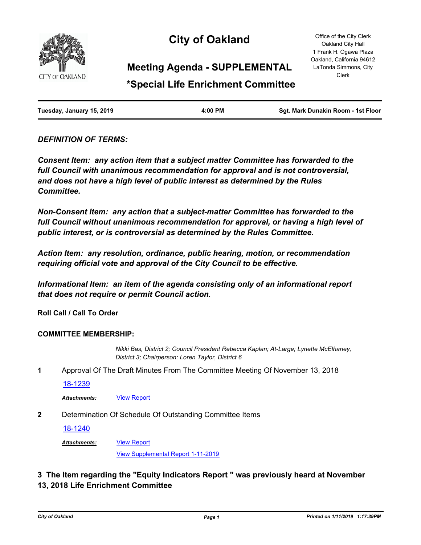

# **City of Oakland**

Office of the City Clerk Oakland City Hall 1 Frank H. Ogawa Plaza Oakland, California 94612 LaTonda Simmons, City Clerk

# **Meeting Agenda - SUPPLEMENTAL**

# **\*Special Life Enrichment Committee**

| Tuesday, January 15, 2019 | 4:00 PM | Sgt. Mark Dunakin Room - 1st Floor |
|---------------------------|---------|------------------------------------|
|                           |         |                                    |

# *DEFINITION OF TERMS:*

*Consent Item: any action item that a subject matter Committee has forwarded to the full Council with unanimous recommendation for approval and is not controversial, and does not have a high level of public interest as determined by the Rules Committee.*

*Non-Consent Item: any action that a subject-matter Committee has forwarded to the*  full Council without unanimous recommendation for approval, or having a high level of *public interest, or is controversial as determined by the Rules Committee.*

*Action Item: any resolution, ordinance, public hearing, motion, or recommendation requiring official vote and approval of the City Council to be effective.*

*Informational Item: an item of the agenda consisting only of an informational report that does not require or permit Council action.*

**Roll Call / Call To Order**

## **COMMITTEE MEMBERSHIP:**

*Nikki Bas, District 2; Council President Rebecca Kaplan; At-Large; Lynette McElhaney, District 3; Chairperson: Loren Taylor, District 6*

**1** Approval Of The Draft Minutes From The Committee Meeting Of November 13, 2018

[18-1239](http://oakland.legistar.com/gateway.aspx?m=l&id=/matter.aspx?key=29666)

Attachments: **[View Report](http://oakland.legistar.com/gateway.aspx?M=F&ID=32272295-cc01-496e-b6c9-8abf655acf79.pdf)** 

**2** Determination Of Schedule Of Outstanding Committee Items

[View Report](http://oakland.legistar.com/gateway.aspx?M=F&ID=4572c071-0c1c-4c76-8722-fefa31b34253.pdf)

[18-1240](http://oakland.legistar.com/gateway.aspx?m=l&id=/matter.aspx?key=29667)

*Attachments:*

[View Supplemental Report 1-11-2019](http://oakland.legistar.com/gateway.aspx?M=F&ID=9f91d872-32ae-4be4-bfe0-1a33ce4920ec.pdf)

# **3 The Item regarding the "Equity Indicators Report " was previously heard at November 13, 2018 Life Enrichment Committee**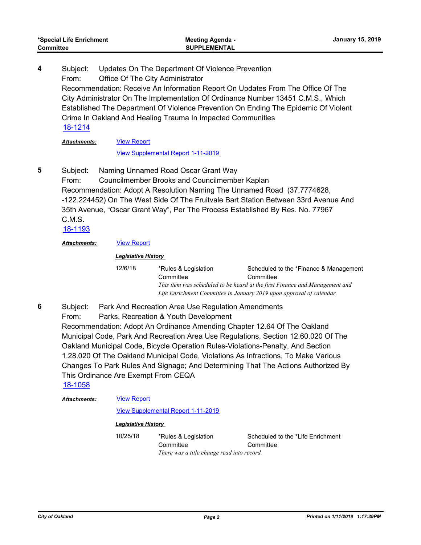Subject: Updates On The Department Of Violence Prevention From: Office Of The City Administrator Recommendation: Receive An Information Report On Updates From The Office Of The City Administrator On The Implementation Of Ordinance Number 13451 C.M.S., Which Established The Department Of Violence Prevention On Ending The Epidemic Of Violent Crime In Oakland And Healing Trauma In Impacted Communities **4** [18-1214](http://oakland.legistar.com/gateway.aspx?m=l&id=/matter.aspx?key=29641)

#### [View Report](http://oakland.legistar.com/gateway.aspx?M=F&ID=1ba26b29-fcda-413e-b932-f61e8f62f1c9.pdf) *Attachments:*

### [View Supplemental Report 1-11-2019](http://oakland.legistar.com/gateway.aspx?M=F&ID=1a0c2ff1-8366-4b62-b451-dc494075ab6d.pdf)

Subject: Naming Unnamed Road Oscar Grant Way From: Councilmember Brooks and Councilmember Kaplan Recommendation: Adopt A Resolution Naming The Unnamed Road (37.7774628, -122.224452) On The West Side Of The Fruitvale Bart Station Between 33rd Avenue And 35th Avenue, "Oscar Grant Way", Per The Process Established By Res. No. 77967 C.M.S. **5**

[18-1193](http://oakland.legistar.com/gateway.aspx?m=l&id=/matter.aspx?key=29620)

## *Attachments:* [View Report](http://oakland.legistar.com/gateway.aspx?M=F&ID=93f8ecf3-2331-4c1b-8f38-3d711a23e6f8.pdf)

## *Legislative History*

12/6/18 \*Rules & Legislation **Committee** Scheduled to the \*Finance & Management **Committee** *This item was scheduled to be heard at the first Finance and Management and Life Enrichment Committee in January 2019 upon approval of calendar.*

Subject: Park And Recreation Area Use Regulation Amendments From: Parks, Recreation & Youth Development Recommendation: Adopt An Ordinance Amending Chapter 12.64 Of The Oakland Municipal Code, Park And Recreation Area Use Regulations, Section 12.60.020 Of The Oakland Municipal Code, Bicycle Operation Rules-Violations-Penalty, And Section 1.28.020 Of The Oakland Municipal Code, Violations As Infractions, To Make Various Changes To Park Rules And Signage; And Determining That The Actions Authorized By This Ordinance Are Exempt From CEQA **6** [18-1058](http://oakland.legistar.com/gateway.aspx?m=l&id=/matter.aspx?key=29487)

[View Report](http://oakland.legistar.com/gateway.aspx?M=F&ID=207bfb05-2f0c-4782-b8db-774eb84b2714.pdf) *Attachments:*

[View Supplemental Report 1-11-2019](http://oakland.legistar.com/gateway.aspx?M=F&ID=d3fdb86f-1119-4ca4-8543-06a53532af4f.pdf)

## *Legislative History*

10/25/18 \*Rules & Legislation **Committee** Scheduled to the \*Life Enrichment **Committee** *There was a title change read into record.*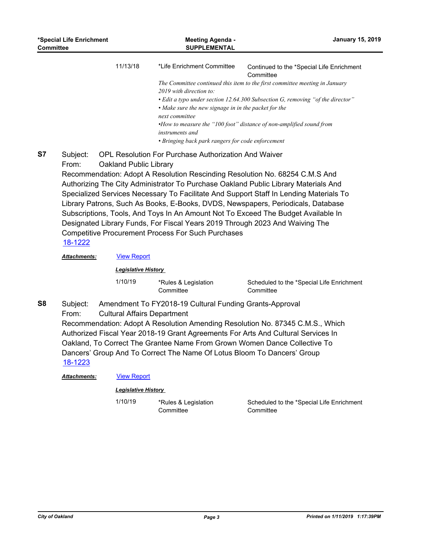| *Special Life Enrichment<br><b>Committee</b> |                                                                                                                                                                                                                                                                                                                                                                                                                                                                                                                                                                                                                                                                                                                                                    | <b>Meeting Agenda -</b><br><b>SUPPLEMENTAL</b> |                                                                                                                                                                                                         | <b>January 15, 2019</b>                                                                                                                                                                                                                                                                        |  |
|----------------------------------------------|----------------------------------------------------------------------------------------------------------------------------------------------------------------------------------------------------------------------------------------------------------------------------------------------------------------------------------------------------------------------------------------------------------------------------------------------------------------------------------------------------------------------------------------------------------------------------------------------------------------------------------------------------------------------------------------------------------------------------------------------------|------------------------------------------------|---------------------------------------------------------------------------------------------------------------------------------------------------------------------------------------------------------|------------------------------------------------------------------------------------------------------------------------------------------------------------------------------------------------------------------------------------------------------------------------------------------------|--|
|                                              |                                                                                                                                                                                                                                                                                                                                                                                                                                                                                                                                                                                                                                                                                                                                                    | 11/13/18                                       | *Life Enrichment Committee<br>2019 with direction to:<br>• Make sure the new signage in in the packet for the<br>next committee<br>instruments and<br>• Bringing back park rangers for code enforcement | Continued to the *Special Life Enrichment<br>Committee<br>The Committee continued this item to the first committee meeting in January<br>• Edit a typo under section 12.64.300 Subsection G, removing "of the director"<br>•How to measure the "100 foot" distance of non-amplified sound from |  |
| <b>S7</b>                                    | <b>OPL Resolution For Purchase Authorization And Waiver</b><br>Subject:<br>From:<br>Oakland Public Library<br>Recommendation: Adopt A Resolution Rescinding Resolution No. 68254 C.M.S And<br>Authorizing The City Administrator To Purchase Oakland Public Library Materials And<br>Specialized Services Necessary To Facilitate And Support Staff In Lending Materials To<br>Library Patrons, Such As Books, E-Books, DVDS, Newspapers, Periodicals, Database<br>Subscriptions, Tools, And Toys In An Amount Not To Exceed The Budget Available In<br>Designated Library Funds, For Fiscal Years 2019 Through 2023 And Waiving The<br><b>Competitive Procurement Process For Such Purchases</b><br>18-1222<br><b>View Report</b><br>Attachments: |                                                |                                                                                                                                                                                                         |                                                                                                                                                                                                                                                                                                |  |
|                                              |                                                                                                                                                                                                                                                                                                                                                                                                                                                                                                                                                                                                                                                                                                                                                    | <b>Legislative History</b>                     |                                                                                                                                                                                                         |                                                                                                                                                                                                                                                                                                |  |
|                                              |                                                                                                                                                                                                                                                                                                                                                                                                                                                                                                                                                                                                                                                                                                                                                    | 1/10/19                                        | *Rules & Legislation<br>Committee                                                                                                                                                                       | Scheduled to the *Special Life Enrichment<br>Committee                                                                                                                                                                                                                                         |  |
| S <sub>8</sub>                               | Subject:<br>Amendment To FY2018-19 Cultural Funding Grants-Approval<br>From:<br><b>Cultural Affairs Department</b><br>Recommendation: Adopt A Resolution Amending Resolution No. 87345 C.M.S., Which<br>Authorized Fiscal Year 2018-19 Grant Agreements For Arts And Cultural Services In<br>Oakland, To Correct The Grantee Name From Grown Women Dance Collective To<br>Dancers' Group And To Correct The Name Of Lotus Bloom To Dancers' Group<br><u>18-1223</u>                                                                                                                                                                                                                                                                                |                                                |                                                                                                                                                                                                         |                                                                                                                                                                                                                                                                                                |  |
|                                              | Attachments:                                                                                                                                                                                                                                                                                                                                                                                                                                                                                                                                                                                                                                                                                                                                       | <b>View Report</b>                             |                                                                                                                                                                                                         |                                                                                                                                                                                                                                                                                                |  |
|                                              | <b>Legislative History</b>                                                                                                                                                                                                                                                                                                                                                                                                                                                                                                                                                                                                                                                                                                                         |                                                |                                                                                                                                                                                                         |                                                                                                                                                                                                                                                                                                |  |
|                                              |                                                                                                                                                                                                                                                                                                                                                                                                                                                                                                                                                                                                                                                                                                                                                    | 1/10/19                                        | *Rules & Legislation<br>Committee                                                                                                                                                                       | Scheduled to the *Special Life Enrichment<br>Committee                                                                                                                                                                                                                                         |  |